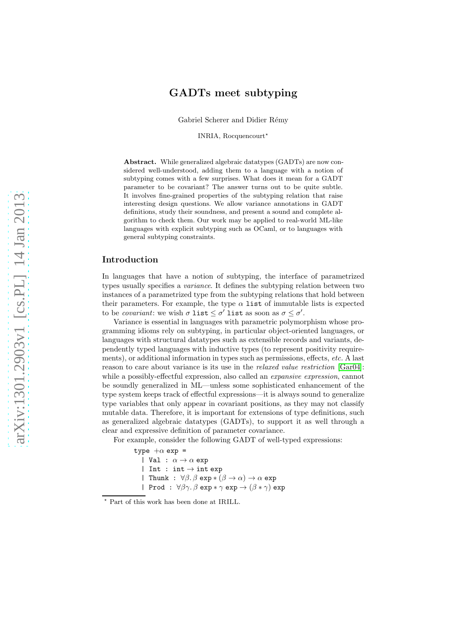# GADTs meet subtyping

Gabriel Scherer and Didier Rémy

INRIA, Rocquencourt<sup>\*</sup>

Abstract. While generalized algebraic datatypes (GADTs) are now considered well-understood, adding them to a language with a notion of subtyping comes with a few surprises. What does it mean for a GADT parameter to be covariant? The answer turns out to be quite subtle. It involves fine-grained properties of the subtyping relation that raise interesting design questions. We allow variance annotations in GADT definitions, study their soundness, and present a sound and complete algorithm to check them. Our work may be applied to real-world ML-like languages with explicit subtyping such as OCaml, or to languages with general subtyping constraints.

## Introduction

In languages that have a notion of subtyping, the interface of parametrized types usually specifies a *variance*. It defines the subtyping relation between two instances of a parametrized type from the subtyping relations that hold between their parameters. For example, the type  $\alpha$  list of immutable lists is expected to be *covariant*: we wish  $\sigma$  list  $\leq \sigma'$  list as soon as  $\sigma \leq \sigma'$ .

Variance is essential in languages with parametric polymorphism whose programming idioms rely on subtyping, in particular object-oriented languages, or languages with structural datatypes such as extensible records and variants, dependently typed languages with inductive types (to represent positivity requirements), or additional information in types such as permissions, effects, *etc.* A last reason to care about variance is its use in the *relaxed value restriction* [\[Gar04\]](#page-19-0): while a possibly-effectful expression, also called an *expansive expression*, cannot be soundly generalized in ML—unless some sophisticated enhancement of the type system keeps track of effectful expressions—it is always sound to generalize type variables that only appear in covariant positions, as they may not classify mutable data. Therefore, it is important for extensions of type definitions, such as generalized algebraic datatypes (GADTs), to support it as well through a clear and expressive definition of parameter covariance.

For example, consider the following GADT of well-typed expressions:

```
type +\alpha exp =
```

```
| Val : \alpha \rightarrow \alpha exp
| Int : int \rightarrow int exp
| Thunk : \forall \beta. \beta exp *(\beta \rightarrow \alpha) \rightarrow \alpha exp
| Prod : \forall \beta \gamma \ldotp \beta exp * \gamma exp \rightarrow (\beta * \gamma) exp
```
 $^{\star}$  Part of this work has been done at IRILL.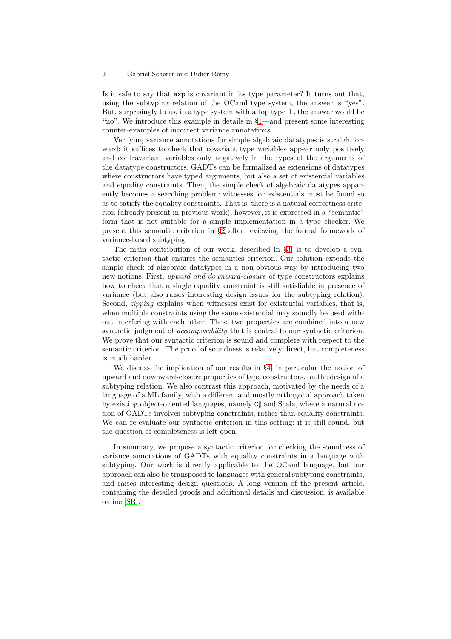Is it safe to say that exp is covariant in its type parameter? It turns out that, using the subtyping relation of the OCaml type system, the answer is "yes". But, surprisingly to us, in a type system with a top type  $\top$ , the answer would be "no". We introduce this example in details in §[1—](#page-2-0)and present some interesting counter-examples of incorrect variance annotations.

Verifying variance annotations for simple algebraic datatypes is straightforward: it suffices to check that covariant type variables appear only positively and contravariant variables only negatively in the types of the arguments of the datatype constructors. GADTs can be formalized as extensions of datatypes where constructors have typed arguments, but also a set of existential variables and equality constraints. Then, the simple check of algebraic datatypes apparently becomes a searching problem: witnesses for existentials must be found so as to satisfy the equality constraints. That is, there is a natural correctness criterion (already present in previous work); however, it is expressed in a "semantic" form that is not suitable for a simple implementation in a type checker. We present this semantic criterion in §[2](#page-4-0) after reviewing the formal framework of variance-based subtyping.

The main contribution of our work, described in §[3,](#page-10-0) is to develop a syntactic criterion that ensures the semantics criterion. Our solution extends the simple check of algebraic datatypes in a non-obvious way by introducing two new notions. First, *upward and downward-closure* of type constructors explains how to check that a single equality constraint is still satisfiable in presence of variance (but also raises interesting design issues for the subtyping relation). Second, *zipping* explains when witnesses exist for existential variables, that is, when multiple constraints using the same existential may soundly be used without interfering with each other. These two properties are combined into a new syntactic judgment of *decomposability* that is central to our syntactic criterion. We prove that our syntactic criterion is sound and complete with respect to the semantic criterion. The proof of soundness is relatively direct, but completeness is much harder.

We discuss the implication of our results in §[4,](#page-14-0) in particular the notion of upward and downward-closure properties of type constructors, on the design of a subtyping relation. We also contrast this approach, motivated by the needs of a language of a ML family, with a different and mostly orthogonal approach taken by existing object-oriented languages, namely C♯ and Scala, where a natural notion of GADTs involves subtyping constraints, rather than equality constraints. We can re-evaluate our syntactic criterion in this setting: it is still sound, but the question of completeness is left open.

In summary, we propose a syntactic criterion for checking the soundness of variance annotations of GADTs with equality constraints in a language with subtyping. Our work is directly applicable to the OCaml language, but our approach can also be transposed to languages with general subtyping constraints, and raises interesting design questions. A long version of the present article, containing the detailed proofs and additional details and discussion, is available online [\[SR\]](#page-19-1).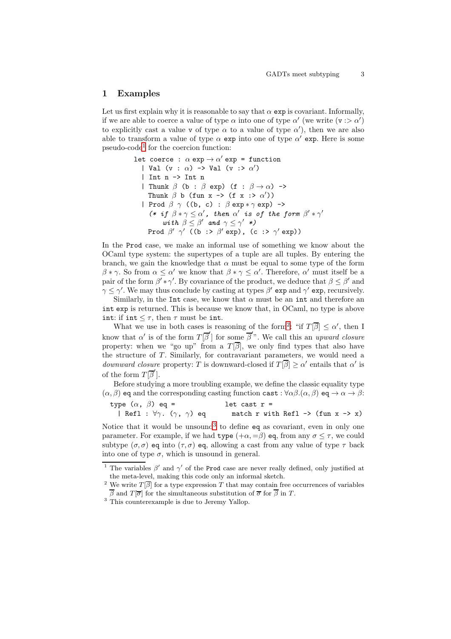## <span id="page-2-0"></span>1 Examples

Let us first explain why it is reasonable to say that  $\alpha$  exp is covariant. Informally, if we are able to coerce a value of type  $\alpha$  into one of type  $\alpha'$  (we write  $(\mathbf{v} > \alpha')$ to explicitly cast a value v of type  $\alpha$  to a value of type  $\alpha'$ ), then we are also able to transform a value of type  $\alpha$  exp into one of type  $\alpha'$  exp. Here is some pseudo-code<sup>[1](#page-2-1)</sup> for the coercion function:

```
let coerce : \alpha exp \rightarrow \alpha' exp = function
  | Val (v : \alpha) \rightarrow Val (v : \alpha')| Int n -> Int n
  | Thunk \beta (b : \beta exp) (f : \beta \rightarrow \alpha) ->
     Thunk \beta b (fun x -> (f x :> \alpha'))
  | Prod \beta \gamma ((b, c) : \beta exp * \gamma exp) ->
     (* if \beta * \gamma \leq \alpha', then \alpha' is of the form \beta' * \gamma'with \beta \leq \beta' and \gamma \leq \gamma' *)
     Prod \beta' \gamma' ((b :> \beta' exp), (c :> \gamma' exp))
```
In the Prod case, we make an informal use of something we know about the OCaml type system: the supertypes of a tuple are all tuples. By entering the branch, we gain the knowledge that  $\alpha$  must be equal to some type of the form  $\beta * \gamma$ . So from  $\alpha \leq \alpha'$  we know that  $\beta * \gamma \leq \alpha'$ . Therefore,  $\alpha'$  must itself be a pair of the form  $\beta' * \gamma'$ . By covariance of the product, we deduce that  $\beta \leq \beta'$  and  $\gamma \leq \gamma'$ . We may thus conclude by casting at types  $\beta'$  exp and  $\gamma'$  exp, recursively.

Similarly, in the Int case, we know that  $\alpha$  must be an int and therefore an int exp is returned. This is because we know that, in OCaml, no type is above int: if int  $\leq \tau$ , then  $\tau$  must be int.

What we use in both cases is reasoning of the form<sup>[2](#page-2-2)</sup>: "if  $T[\overline{\beta}] \leq \alpha'$ , then I know that  $\alpha'$  is of the form  $T[\overline{\beta}']$  for some  $\overline{\beta}'$ . We call this an *upward closure* property: when we "go up" from a  $T[\overline{\beta}]$ , we only find types that also have the structure of  $T$ . Similarly, for contravariant parameters, we would need a *downward closure* property: T is downward-closed if  $T[\overline{\beta}] \ge \alpha'$  entails that  $\alpha'$  is of the form  $T[\overline{\beta}']$ .

Before studying a more troubling example, we define the classic equality type  $(\alpha, \beta)$  eq and the corresponding casting function cast :  $\forall \alpha \beta$ . $(\alpha, \beta)$  eq  $\rightarrow \alpha \rightarrow \beta$ :

| type $(\alpha, \beta)$ eq = |  |                                                 |  | let cast $r =$                                          |
|-----------------------------|--|-------------------------------------------------|--|---------------------------------------------------------|
|                             |  | Refl : $\forall \gamma$ . $(\gamma, \gamma)$ eq |  | match r with Refl $\rightarrow$ (fun x $\rightarrow$ x) |

Notice that it would be unsound<sup>[3](#page-2-3)</sup> to define  $eq$  as covariant, even in only one parameter. For example, if we had type  $(+\alpha, =\beta)$  eq, from any  $\sigma \leq \tau$ , we could subtype  $(\sigma, \sigma)$  eq into  $(\tau, \sigma)$  eq, allowing a cast from any value of type  $\tau$  back into one of type  $\sigma$ , which is unsound in general.

<span id="page-2-1"></span><sup>&</sup>lt;sup>1</sup> The variables  $\beta'$  and  $\gamma'$  of the Prod case are never really defined, only justified at the meta-level, making this code only an informal sketch.

<span id="page-2-2"></span><sup>&</sup>lt;sup>2</sup> We write  $T[\overline{\beta}]$  for a type expression T that may contain free occurrences of variables  $\overline{\beta}$  and  $T[\overline{\sigma}]$  for the simultaneous substitution of  $\overline{\sigma}$  for  $\overline{\beta}$  in T.

<span id="page-2-3"></span> $^3$  This counterexample is due to Jeremy Yallop.  $\,$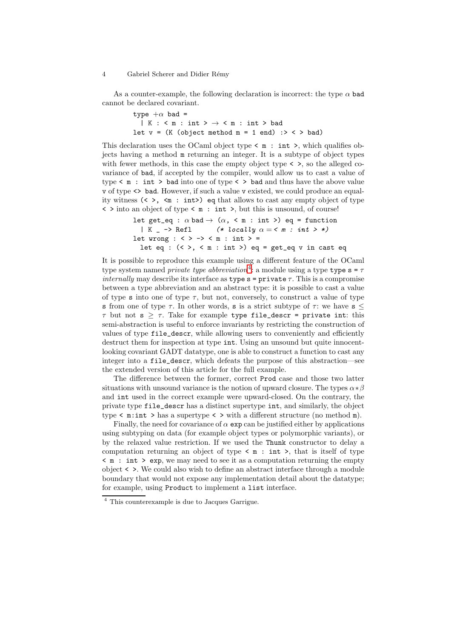As a counter-example, the following declaration is incorrect: the type  $\alpha$  bad cannot be declared covariant.

```
type +\alpha bad =
  | K : \leq m : int > \rightarrow \leq m : int > badlet v = (K \text{ (object method m = 1 end)} \Rightarrow \text{ > bad)}
```
This declaration uses the OCaml object type  $\leq m$ : int  $\geq$ , which qualifies objects having a method m returning an integer. It is a subtype of object types with fewer methods, in this case the empty object type  $\lt$   $\gt$ , so the alleged covariance of bad, if accepted by the compiler, would allow us to cast a value of type  $\leq m$ : int  $\geq$  bad into one of type  $\leq \geq$  bad and thus have the above value v of type <> bad. However, if such a value v existed, we could produce an equality witness  $\langle \langle \rangle$ ,  $\langle m : \text{int} \rangle$  eq that allows to cast any empty object of type  $\leq$  > into an object of type  $\leq$  m : int >, but this is unsound, of course!

```
let get_eq : \alpha bad \rightarrow (\alpha, \leq m : int >) eq = function
  | K _ -> Refl (*) (*) (\ast locally \alpha = \leq m : int > \ast)let wrong : \langle \rangle -> \langle \rangle m : int > =
  let eq : (< \rangle, < m : int >) eq = get_eq v in cast eq
```
It is possible to reproduce this example using a different feature of the OCaml type system named *private type abbreviation*<sup>[4](#page-3-0)</sup>: a module using a type  $\mathsf{type}\ s = \tau$ *internally* may describe its interface as type  $s = private \tau$ . This is a compromise between a type abbreviation and an abstract type: it is possible to cast a value of type s into one of type  $\tau$ , but not, conversely, to construct a value of type s from one of type  $\tau$ . In other words, s is a strict subtype of  $\tau$ : we have s  $\leq$  $\tau$  but not  $s \geq \tau$ . Take for example type file\_descr = private int: this semi-abstraction is useful to enforce invariants by restricting the construction of values of type file\_descr, while allowing users to conveniently and efficiently destruct them for inspection at type int. Using an unsound but quite innocentlooking covariant GADT datatype, one is able to construct a function to cast any integer into a file\_descr, which defeats the purpose of this abstraction—see the extended version of this article for the full example.

The difference between the former, correct Prod case and those two latter situations with unsound variance is the notion of upward closure. The types  $\alpha * \beta$ and int used in the correct example were upward-closed. On the contrary, the private type file\_descr has a distinct supertype int, and similarly, the object type  $\leq$  m: int  $\geq$  has a supertype  $\leq$   $\geq$  with a different structure (no method m).

Finally, the need for covariance of  $\alpha$  exp can be justified either by applications using subtyping on data (for example object types or polymorphic variants), or by the relaxed value restriction. If we used the Thunk constructor to delay a computation returning an object of type  $\leq m$ : int  $\geq$ , that is itself of type  $\leq$  m : int  $\geq$  exp, we may need to see it as a computation returning the empty object < >. We could also wish to define an abstract interface through a module boundary that would not expose any implementation detail about the datatype; for example, using Product to implement a list interface.

<span id="page-3-0"></span><sup>4</sup> This counterexample is due to Jacques Garrigue.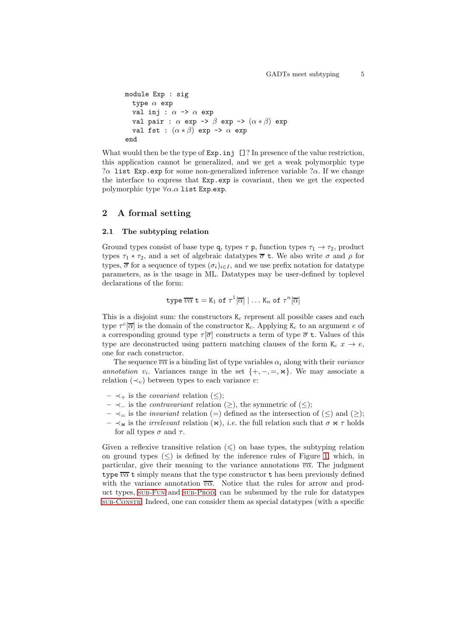```
module Exp : sig
  type \alpha exp
  val inj : \alpha \rightarrow \alpha exp
  val pair : \alpha exp -> \beta exp -> (\alpha * \beta) exp
  val fst : (\alpha * \beta) exp -> \alpha exp
end
```
What would then be the type of  $Exp.inj$  []? In presence of the value restriction, this application cannot be generalized, and we get a weak polymorphic type ? $\alpha$  list Exp.exp for some non-generalized inference variable ? $\alpha$ . If we change the interface to express that Exp.exp is covariant, then we get the expected polymorphic type  $\forall \alpha \ldotp \alpha$  list Exp.exp.

## <span id="page-4-0"></span>2 A formal setting

#### 2.1 The subtyping relation

Ground types consist of base type q, types  $\tau$  p, function types  $\tau_1 \rightarrow \tau_2$ , product types  $\tau_1 * \tau_2$ , and a set of algebraic datatypes  $\overline{\sigma}$  t. We also write  $\sigma$  and  $\rho$  for types,  $\overline{\sigma}$  for a sequence of types  $(\sigma_i)_{i\in I}$ , and we use prefix notation for datatype parameters, as is the usage in ML. Datatypes may be user-defined by toplevel declarations of the form:

$$
type \overline{v\alpha} t = K_1 \text{ of } \tau^1[\overline{\alpha}] \mid \dots K_n \text{ of } \tau^n[\overline{\alpha}]
$$

This is a disjoint sum: the constructors  $K_c$  represent all possible cases and each type  $\tau^c[\overline{\alpha}]$  is the domain of the constructor  $K_c$ . Applying  $K_c$  to an argument e of a corresponding ground type  $\tau[\overline{\sigma}]$  constructs a term of type  $\overline{\sigma}$  t. Values of this type are deconstructed using pattern matching clauses of the form  $K_c$   $x \to e$ , one for each constructor.

The sequence  $\overline{v\alpha}$  is a binding list of type variables  $\alpha_i$  along with their *variance annotation*  $v_i$ . Variances range in the set  $\{+,-, =, \infty\}$ . We may associate a relation  $(\prec_v)$  between types to each variance v:

- $-$  ≺<sub>+</sub> is the *covariant* relation (≤);
- ≺<sup>−</sup> is the *contravariant* relation (≥), the symmetric of (≤);
- ≺<sup>=</sup> is the *invariant* relation (=) defined as the intersection of (≤) and (≥);
- $-\prec_{\mathbf{M}}$  is the *irrelevant* relation ( $\mathbf{M}$ ), *i.e.* the full relation such that  $\sigma \mathbf{M} \tau$  holds for all types  $\sigma$  and  $\tau$ .

Given a reflexive transitive relation  $(\leq)$  on base types, the subtyping relation on ground types  $(\leq)$  is defined by the inference rules of Figure [1,](#page-5-0) which, in particular, give their meaning to the variance annotations  $\overline{v\alpha}$ . The judgment type  $\overline{v\alpha}$  t simply means that the type constructor t has been previously defined with the variance annotation  $\overline{v\alpha}$ . Notice that the rules for arrow and product types, [sub-Fun](#page-5-1) and [sub-Prod](#page-5-2), can be subsumed by the rule for datatypes [sub-Constr](#page-5-3). Indeed, one can consider them as special datatypes (with a specific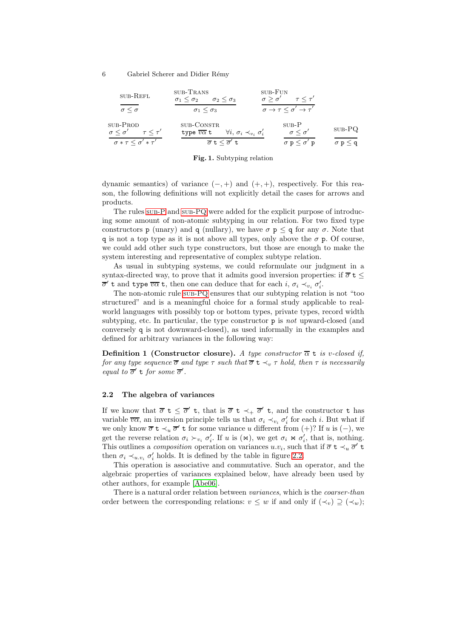<span id="page-5-2"></span>

| SUB-REFL<br>$\sigma \leq \sigma$                                                            | SUB-TRANS<br>$\sigma_2 \leq \sigma_3$<br>$\sigma_1 \leq \sigma_2$<br>$\sigma_1 \leq \sigma_3$                                                | SUB-FUN<br>$\sigma > \sigma'$ $\tau < \tau'$<br>$\sigma \to \tau \leq \sigma' \to \tau'$ |                              |
|---------------------------------------------------------------------------------------------|----------------------------------------------------------------------------------------------------------------------------------------------|------------------------------------------------------------------------------------------|------------------------------|
| SUB-PROD<br>$\sigma \leq \sigma'$ $\tau \leq \tau'$<br>$\sigma * \tau \leq \sigma' * \tau'$ | SUB-CONSTR<br>$\forall i, \, \sigma_i \prec_{v_i} \sigma'_i$<br>type $\overline{v\alpha}$ t<br>$\overline{\sigma}$ t $<\overline{\sigma}'$ t | $SUB-P$<br>$\sigma \leq \sigma'$<br>$\sigma p \leq \sigma' p$                            | $SUB-PO$<br>$\sigma p \le q$ |

<span id="page-5-5"></span><span id="page-5-4"></span><span id="page-5-3"></span><span id="page-5-1"></span><span id="page-5-0"></span>

|  | Fig. 1. Subtyping relation |  |
|--|----------------------------|--|
|--|----------------------------|--|

dynamic semantics) of variance  $(-, +)$  and  $(+, +)$ , respectively. For this reason, the following definitions will not explicitly detail the cases for arrows and products.

The rules [sub-P](#page-5-4) and [sub-PQ](#page-5-5) were added for the explicit purpose of introducing some amount of non-atomic subtyping in our relation. For two fixed type constructors p (unary) and q (nullary), we have  $\sigma$  p  $\leq$  q for any  $\sigma$ . Note that q is not a top type as it is not above all types, only above the  $\sigma$  p. Of course, we could add other such type constructors, but those are enough to make the system interesting and representative of complex subtype relation.

As usual in subtyping systems, we could reformulate our judgment in a syntax-directed way, to prove that it admits good inversion properties: if  $\bar{\sigma}$  t  $\leq$  $\overline{\sigma}'$  t and type  $\overline{v\alpha}$  t, then one can deduce that for each i,  $\sigma_i \prec_{v_i} \sigma'_i$ .

The non-atomic rule [sub-PQ](#page-5-5) ensures that our subtyping relation is not "too structured" and is a meaningful choice for a formal study applicable to realworld languages with possibly top or bottom types, private types, record width subtyping, etc. In particular, the type constructor p is *not* upward-closed (and conversely q is not downward-closed), as used informally in the examples and defined for arbitrary variances in the following way:

<span id="page-5-7"></span>**Definition 1 (Constructor closure).** A type constructor  $\overline{\alpha}$  **t** is v-closed if, *for any type sequence*  $\overline{\sigma}$  *and type*  $\tau$  *such that*  $\overline{\sigma}$  **t**  $\prec_v$   $\tau$  *hold, then*  $\tau$  *is necessarily equal to*  $\overline{\sigma}'$  **t** *for some*  $\overline{\sigma}'$ *.* 

#### <span id="page-5-6"></span>2.2 The algebra of variances

If we know that  $\overline{\sigma} \mathbf{t} \leq \overline{\sigma}' \mathbf{t}$ , that is  $\overline{\sigma} \mathbf{t} \prec_+ \overline{\sigma}' \mathbf{t}$ , and the constructor  $\mathbf{t}$  has variable  $\overline{v\alpha}$ , an inversion principle tells us that  $\sigma_i \prec_{v_i} \sigma'_i$  for each i. But what if we only know  $\overline{\sigma}$  **t**  $\prec_u \overline{\sigma}'$  **t** for some variance u different from (+)? If u is (-), we get the reverse relation  $\sigma_i \succ_{v_i} \sigma'_i$ . If u is  $(\infty)$ , we get  $\sigma_i \Join \sigma'_i$ , that is, nothing. This outlines a *composition* operation on variances  $u.v_i$ , such that if  $\overline{\sigma}$  t  $\prec_u \overline{\sigma}'$  t then  $\sigma_i \prec_{u.v_i} \sigma'_i$  holds. It is defined by the table in figure [2.2.](#page-5-6)

This operation is associative and commutative. Such an operator, and the algebraic properties of variances explained below, have already been used by other authors, for example [\[Abe06\]](#page-19-2).

There is a natural order relation between *variances*, which is the *coarser-than* order between the corresponding relations:  $v \leq w$  if and only if  $(\prec_v) \supseteq (\prec_w);$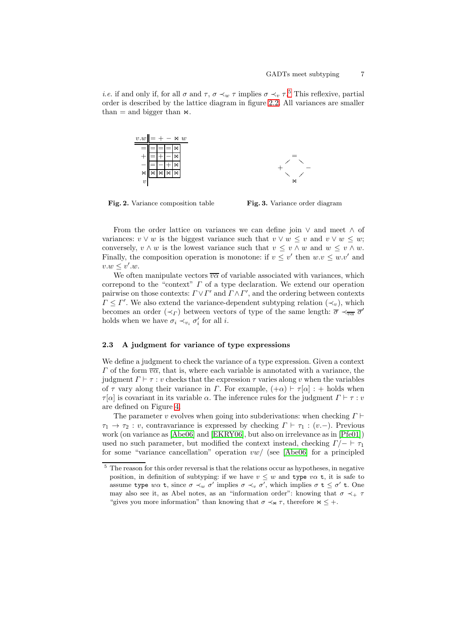*i.e.* if and only if, for all  $\sigma$  and  $\tau$ ,  $\sigma \prec_w \tau$  implies  $\sigma \prec_v \tau$ .<sup>[5](#page-6-0)</sup> This reflexive, partial order is described by the lattice diagram in figure [2.2.](#page-6-1) All variances are smaller than  $=$  and bigger than  $\bowtie$ .



<span id="page-6-1"></span>Fig. 2. Variance composition table

Fig. 3. Variance order diagram

From the order lattice on variances we can define join  $\vee$  and meet  $\wedge$  of variances:  $v \vee w$  is the biggest variance such that  $v \vee w \leq v$  and  $v \vee w \leq w$ ; conversely,  $v \wedge w$  is the lowest variance such that  $v \leq v \wedge w$  and  $w \leq v \wedge w$ . Finally, the composition operation is monotone: if  $v \leq v'$  then  $w.v \leq w.v'$  and  $v.w \leq v'.w.$ 

We often manipulate vectors  $\overline{v\alpha}$  of variable associated with variances, which correpond to the "context"  $\Gamma$  of a type declaration. We extend our operation pairwise on those contexts:  $\Gamma \vee \Gamma'$  and  $\Gamma \wedge \Gamma'$ , and the ordering between contexts  $\Gamma \leq \Gamma'$ . We also extend the variance-dependent subtyping relation  $(\prec_v)$ , which becomes an order  $(\prec_{\Gamma})$  between vectors of type of the same length:  $\overline{\sigma} \prec_{\overline{v\alpha}} \overline{\sigma}'$ holds when we have  $\sigma_i \prec_{v_i} \sigma'_i$  for all *i*.

## 2.3 A judgment for variance of type expressions

We define a judgment to check the variance of a type expression. Given a context Γ of the form  $\overline{v\alpha}$ , that is, where each variable is annotated with a variance, the judgment  $\Gamma \vdash \tau : v$  checks that the expression  $\tau$  varies along v when the variables of  $\tau$  vary along their variance in  $\Gamma$ . For example,  $(+\alpha) \vdash \tau[\alpha] : +$  holds when  $\tau[\alpha]$  is covariant in its variable  $\alpha$ . The inference rules for the judgment  $\Gamma \vdash \tau : v$ are defined on Figure [4.](#page-7-0)

The parameter v evolves when going into subderivations: when checking  $\Gamma \vdash$  $\tau_1 \to \tau_2 : v$ , contravariance is expressed by checking  $\Gamma \vdash \tau_1 : (v.-)$ . Previous work (on variance as [\[Abe06\]](#page-19-2) and [\[EKRY06\]](#page-19-3), but also on irrelevance as in [\[Pfe01\]](#page-19-4)) used no such parameter, but modified the context instead, checking  $\Gamma/- \vdash \tau_1$ for some "variance cancellation" operation  $vw/$  (see [\[Abe06\]](#page-19-2) for a principled

<span id="page-6-0"></span> $\frac{5}{5}$  The reason for this order reversal is that the relations occur as hypotheses, in negative position, in definition of subtyping: if we have  $v \leq w$  and type  $v\alpha$  t, it is safe to assume type  $w\alpha$  t, since  $\sigma \prec_w^{\bullet} \sigma'$  implies  $\sigma \prec_v^{\sigma'} \sigma'$ , which implies  $\sigma \tau \leq \sigma' \tau$ . One may also see it, as Abel notes, as an "information order": knowing that  $\sigma \prec_{+} \tau$ "gives you more information" than knowing that  $\sigma \prec_{\infty} \tau$ , therefore  $\infty \leq +$ .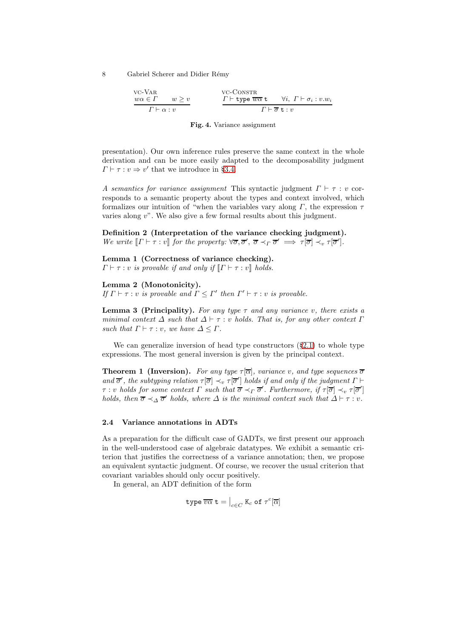<span id="page-7-2"></span>

| vc-Var                     |       | VC-CONSTR                               |                                                                                         |  |
|----------------------------|-------|-----------------------------------------|-----------------------------------------------------------------------------------------|--|
| $w\alpha \in \Gamma$       | w > v |                                         | $\Gamma \vdash$ type $\overline{w\alpha}$ t $\forall i, \Gamma \vdash \sigma_i : v.w_i$ |  |
| $\Gamma \vdash \alpha : v$ |       | $\Gamma \vdash \overline{\sigma} t : v$ |                                                                                         |  |

<span id="page-7-0"></span>Fig. 4. Variance assignment

presentation). Our own inference rules preserve the same context in the whole derivation and can be more easily adapted to the decomposability judgment  $\Gamma \vdash \tau : v \Rightarrow v'$  that we introduce in §[3.4.](#page-12-0)

*A semantics for variance assignment* This syntactic judgment  $\Gamma \vdash \tau : v$  corresponds to a semantic property about the types and context involved, which formalizes our intuition of "when the variables vary along  $\Gamma$ , the expression  $\tau$ varies along  $v$ ". We also give a few formal results about this judgment.

<span id="page-7-1"></span>Definition 2 (Interpretation of the variance checking judgment). *We write*  $[\![ \Gamma \vdash \tau : v ]\!]$  *for the property:*  $\forall \overline{\sigma}, \overline{\sigma}', \overline{\sigma} \prec_{\Gamma} \overline{\sigma}' \implies \tau[\overline{\sigma}] \prec_v \tau[\overline{\sigma}']$ .

#### Lemma 1 (Correctness of variance checking).

<span id="page-7-3"></span> $\Gamma \vdash \tau : v$  *is provable if and only if*  $\llbracket \Gamma \vdash \tau : v \rrbracket$  *holds.* 

#### Lemma 2 (Monotonicity).

*If*  $\Gamma \vdash \tau : v$  *is provable and*  $\Gamma \leq \Gamma'$  *then*  $\Gamma' \vdash \tau : v$  *is provable.* 

**Lemma 3 (Principality).** For any type  $\tau$  and any variance v, there exists a *minimal context*  $\Delta$  *such that*  $\Delta \vdash \tau : v$  *holds. That is, for any other context*  $\Gamma$ *such that*  $\Gamma \vdash \tau : v$ *, we have*  $\Delta \leq \Gamma$ *.* 

We can generalize inversion of head type constructors  $(\S2.1)$  $(\S2.1)$  to whole type expressions. The most general inversion is given by the principal context.

**Theorem 1 (Inversion).** *For any type*  $\tau[\overline{\alpha}]$ *, variance v, and type sequences*  $\overline{\sigma}$ *and*  $\overline{\sigma}'$ , the subtyping relation  $\tau[\overline{\sigma}] \prec_v \tau[\overline{\sigma}']$  holds if and only if the judgment  $\Gamma \vdash$  $\tau : v$  *holds for some context*  $\Gamma$  *such that*  $\overline{\sigma} \prec_{\Gamma} \overline{\sigma}'$ . Furthermore, if  $\tau[\overline{\sigma}] \prec_v \tau[\overline{\sigma}']$ *holds, then*  $\overline{\sigma} \prec_{\Delta} \overline{\sigma}'$  *holds, where*  $\Delta$  *is the minimal context such that*  $\Delta \vdash \tau : v$ *.* 

#### 2.4 Variance annotations in ADTs

As a preparation for the difficult case of GADTs, we first present our approach in the well-understood case of algebraic datatypes. We exhibit a semantic criterion that justifies the correctness of a variance annotation; then, we propose an equivalent syntactic judgment. Of course, we recover the usual criterion that covariant variables should only occur positively.

In general, an ADT definition of the form

$$
type\ \overline{v\alpha}\ t = \big|_{c \in C} \ K_c \ \text{of}\ \tau^c[\overline{\alpha}]
$$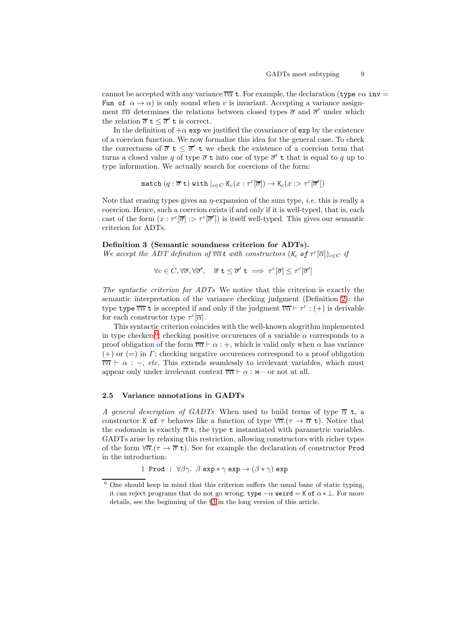cannot be accepted with any variance  $\overline{v\alpha}$  t. For example, the declaration (type  $v\alpha$  inv = Fun of  $\alpha \to \alpha$ ) is only sound when v is invariant. Accepting a variance assignment  $\overline{v\alpha}$  determines the relations between closed types  $\overline{\sigma}$  and  $\overline{\sigma}'$  under which the relation  $\overline{\sigma} \mathbf{t} \leq \overline{\sigma}' \mathbf{t}$  is correct.

In the definition of  $+\alpha$  exp we justified the covariance of exp by the existence of a coercion function. We now formalize this idea for the general case. To check the correctness of  $\overline{\sigma}$  **t**  $\leq \overline{\sigma}'$  **t** we check the existence of a coercion term that turns a closed value q of type  $\overline{\sigma}$  t into one of type  $\overline{\sigma}'$  t that is equal to q up to type information. We actually search for coercions of the form:

$$
\text{match } (q: \overline{\sigma} \text{ t}) \text{ with } |_{c \in C} \text{ K}_c(x: \tau^c[\overline{\sigma}]) \to \text{K}_c(x: > \tau^c[\overline{\sigma}'])
$$

Note that erasing types gives an  $\eta$ -expansion of the sum type, *i.e.* this is really a coercion. Hence, such a coercion exists if and only if it is well-typed, that is, each cast of the form  $(x : \tau^c[\overline{\sigma}] : > \tau^c[\overline{\sigma}'])$  is itself well-typed. This gives our semantic criterion for ADTs.

## <span id="page-8-1"></span>Definition 3 (Semantic soundness criterion for ADTs). *We accept the ADT definition of*  $\overline{v}a$ *t with constructors*  $(K_c \text{ of } \tau^c[\overline{\alpha}])_{c \in C}$  *if*

 $\forall c \in C, \forall \overline{\sigma}, \forall \overline{\sigma}', \quad \overline{\sigma} \mathbf{t} \leq \overline{\sigma}' \mathbf{t} \implies \tau^c[\overline{\sigma}] \leq \tau^c[\overline{\sigma}']$ 

*The syntactic criterion for ADTs* We notice that this criterion is exactly the semantic interpretation of the variance checking judgment (Definition [2\)](#page-7-1): the type type  $\overline{v\alpha}$  t is accepted if and only if the judgment  $\overline{v\alpha} \vdash \tau^c : (+)$  is derivable for each constructor type  $\tau^c[\overline{\alpha}]$ .

This syntactic criterion coincides with the well-known alogrithm implemented in type checkers<sup>[6](#page-8-0)</sup>: checking positive occurences of a variable  $\alpha$  corresponds to a proof obligation of the form  $\overline{v\alpha} \vdash \alpha : +$ , which is valid only when  $\alpha$  has variance  $(+)$  or  $(=)$  in  $\Gamma$ ; checking negative occurences correspond to a proof obligation  $\overline{v\alpha} \vdash \alpha : -$ , *etc.* This extends seamlessly to irrelevant variables, which must appear only under irrelevant context  $\overline{v\alpha} \vdash \alpha : \mathbf{w}$ —or not at all.

## 2.5 Variance annotations in GADTs

*A general description of GADTs* When used to build terms of type  $\overline{\alpha}$  t, a constructor K of  $\tau$  behaves like a function of type  $\forall \overline{\alpha}.(\tau \to \overline{\alpha} \ t)$ . Notice that the codomain is exactly  $\bar{\alpha}$  t, the type t instantiated with parametric variables. GADTs arise by relaxing this restriction, allowing constructors with richer types of the form  $\forall \overline{\alpha}.(\tau \to \overline{\sigma} t)$ . See for example the declaration of constructor Prod in the introduction:

| Prod :  $\forall \beta \gamma$ .  $\beta$  exp  $* \gamma$  exp  $\rightarrow (\beta * \gamma)$  exp

<span id="page-8-0"></span> $6$  One should keep in mind that this criterion suffers the usual bane of static typing, it can reject programs that do not go wrong: type  $-\alpha$  weird = K of  $\alpha * \bot$ . For more details, see the beginning of the §[3](#page-10-0) in the long version of this article.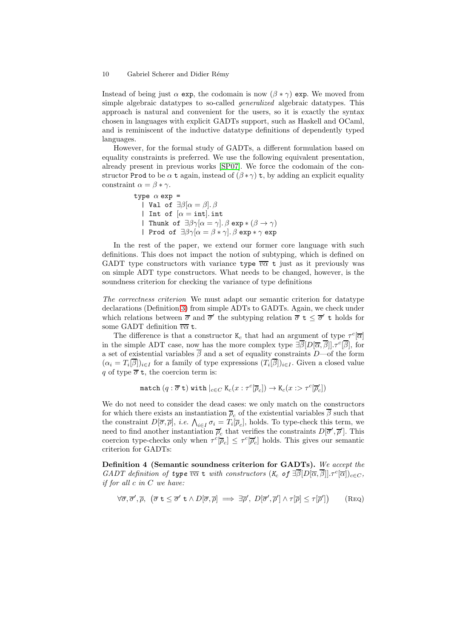Instead of being just  $\alpha$  exp, the codomain is now  $(\beta * \gamma)$  exp. We moved from simple algebraic datatypes to so-called *generalized* algebraic datatypes. This approach is natural and convenient for the users, so it is exactly the syntax chosen in languages with explicit GADTs support, such as Haskell and OCaml, and is reminiscent of the inductive datatype definitions of dependently typed languages.

However, for the formal study of GADTs, a different formulation based on equality constraints is preferred. We use the following equivalent presentation, already present in previous works [\[SP07\]](#page-19-5). We force the codomain of the constructor Prod to be  $\alpha$  t again, instead of  $(\beta * \gamma)$  t, by adding an explicit equality constraint  $\alpha = \beta * \gamma$ .

> type  $\alpha$  exp = | Val of  $\exists \beta[\alpha = \beta]. \beta$ | Int of  $\alpha = \text{int}$ . int | Thunk of  $\exists \beta \gamma | \alpha = \gamma | \beta \exp * (\beta \rightarrow \gamma)$ | Prod of  $\exists \beta \gamma [\alpha = \beta * \gamma]$ .  $\beta$  exp  $* \gamma$  exp

In the rest of the paper, we extend our former core language with such definitions. This does not impact the notion of subtyping, which is defined on GADT type constructors with variance type  $\overline{v\alpha}$  t just as it previously was on simple ADT type constructors. What needs to be changed, however, is the soundness criterion for checking the variance of type definitions

*The correctness criterion* We must adapt our semantic criterion for datatype declarations (Definition [3\)](#page-8-1) from simple ADTs to GADTs. Again, we check under which relations between  $\bar{\sigma}$  and  $\bar{\sigma}'$  the subtyping relation  $\bar{\sigma}$  t  $\leq \bar{\sigma}'$  t holds for some GADT definition  $\overline{v\alpha}$  t.

The difference is that a constructor  $K_c$  that had an argument of type  $\tau^c[\overline{\alpha}]$ in the simple ADT case, now has the more complex type  $\exists \overline{\beta}[D[\overline{\alpha}, \overline{\beta}]] \cdot \tau^c[\overline{\beta}],$  for a set of existential variables  $\overline{\beta}$  and a set of equality constraints D—of the form  $(\alpha_i = T_i[\beta])_{i \in I}$  for a family of type expressions  $(T_i[\beta])_{i \in I}$ . Given a closed value q of type  $\overline{\sigma}$  t, the coercion term is:

match  $(q:\overline{\sigma}\;{\bf t})$  with  $|_{c\in C}\;{\rm K}_c(x:\tau^c[\overline{\rho}_c])\to {\rm K}_c(x:\gt\tau^c[\overline{\rho}'_c])$ 

We do not need to consider the dead cases: we only match on the constructors for which there exists an instantiation  $\overline{\rho}_c$  of the existential variables  $\beta$  such that the constraint  $D[\overline{\sigma}, \overline{\rho}]$ , *i.e.*  $\bigwedge_{i \in I} \sigma_i = T_i[\overline{\rho}_c]$ , holds. To type-check this term, we need to find another instantiation  $\overline{\rho}'_c$  that verifies the constraints  $D[\overline{\sigma}', \overline{\rho}']$ . This coercion type-checks only when  $\tau^c[\overline{\rho}_c] \leq \tau^c[\overline{\rho}'_c]$  holds. This gives our semantic criterion for GADTs:

Definition 4 (Semantic soundness criterion for GADTs). *We accept the GADT definition of type*  $\overline{v\alpha}$  *t with constructors*  $(K_c \text{ of } \exists \overline{\beta}[D[\overline{\alpha}, \overline{\beta}]] \cdot \tau^c[\overline{\alpha}])_{c \in C}$ , *if for all* c *in* C *we have:*

<span id="page-9-0"></span>
$$
\forall \overline{\sigma}, \overline{\sigma}', \overline{\rho}, \ (\overline{\sigma} \ t \leq \overline{\sigma}' \ t \wedge D[\overline{\sigma}, \overline{\rho}] \implies \exists \overline{\rho}', D[\overline{\sigma}', \overline{\rho}'] \wedge \tau[\overline{\rho}] \leq \tau[\overline{\rho}']) \qquad (\text{Re}\rho)
$$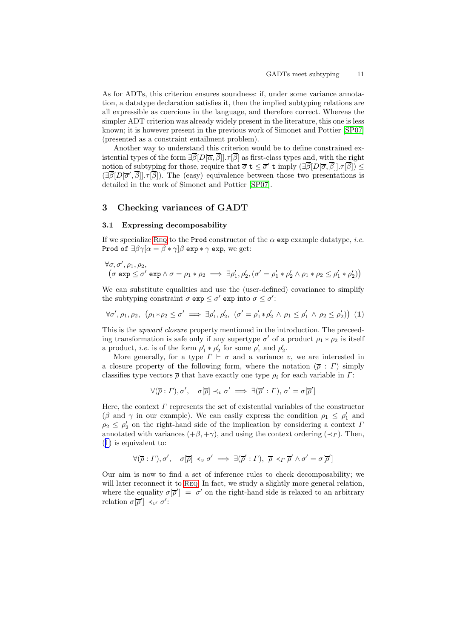As for ADTs, this criterion ensures soundness: if, under some variance annotation, a datatype declaration satisfies it, then the implied subtyping relations are all expressible as coercions in the language, and therefore correct. Whereas the simpler ADT criterion was already widely present in the literature, this one is less known; it is however present in the previous work of Simonet and Pottier [\[SP07\]](#page-19-5) (presented as a constraint entailment problem).

Another way to understand this criterion would be to define constrained existential types of the form  $\exists \overline{\beta}[D[\overline{\alpha}, \overline{\beta}]] \cdot \tau[\overline{\beta}]$  as first-class types and, with the right notion of subtyping for those, require that  $\overline{\sigma} \mathbf{t} \leq \overline{\sigma}' \mathbf{t}$  imply  $(\exists \overline{\beta}[D[\overline{\sigma}, \overline{\beta}]] \cdot \tau[\overline{\beta}]) \leq$  $(\exists \overline{\beta}[D[\overline{\sigma}', \overline{\beta}]] \cdot \tau[\overline{\beta}])$ . The (easy) equivalence between those two presentations is detailed in the work of Simonet and Pottier [\[SP07\]](#page-19-5).

## <span id="page-10-2"></span><span id="page-10-0"></span>3 Checking variances of GADT

#### 3.1 Expressing decomposability

If we specialize REQ to the Prod constructor of the  $\alpha$  exp example datatype, *i.e.* Prod of  $\exists \beta \gamma \alpha = \beta * \gamma \beta$  exp  $* \gamma$  exp, we get:

 $\forall \sigma, \sigma', \rho_1, \rho_2,$  $(\sigma \exp \leq \sigma' \exp \wedge \sigma = \rho_1 * \rho_2 \implies \exists \rho'_1, \rho'_2, (\sigma' = \rho'_1 * \rho'_2 \wedge \rho_1 * \rho_2 \leq \rho'_1 * \rho'_2))$ 

We can substitute equalities and use the (user-defined) covariance to simplify the subtyping constraint  $\sigma$  exp  $\leq \sigma'$  exp into  $\sigma \leq \sigma'$ :

$$
\forall \sigma', \rho_1, \rho_2, \ (\rho_1 * \rho_2 \leq \sigma' \implies \exists \rho'_1, \rho'_2, \ (\sigma' = \rho'_1 * \rho'_2 \ \land \ \rho_1 \leq \rho'_1 \ \land \ \rho_2 \leq \rho'_2)) \tag{1}
$$

This is the *upward closure* property mentioned in the introduction. The preceeding transformation is safe only if any supertype  $\sigma'$  of a product  $\rho_1 * \rho_2$  is itself a product, *i.e.* is of the form  $\rho'_1 * \rho'_2$  for some  $\rho'_1$  and  $\rho'_2$ .

More generally, for a type  $\Gamma \vdash \sigma$  and a variance v, we are interested in a closure property of the following form, where the notation  $(\bar{p} : \Gamma)$  simply classifies type vectors  $\bar{\rho}$  that have exactly one type  $\rho_i$  for each variable in  $\Gamma$ :

$$
\forall (\overline{\rho}: \Gamma), \sigma', \quad \sigma[\overline{\rho}] \prec_v \sigma' \implies \exists (\overline{\rho}': \Gamma), \sigma' = \sigma[\overline{\rho}']
$$

Here, the context  $\Gamma$  represents the set of existential variables of the constructor ( $\beta$  and  $\gamma$  in our example). We can easily express the condition  $\rho_1 \leq \rho'_1$  and  $\rho_2 \leq \rho_2'$  on the right-hand side of the implication by considering a context  $\Gamma$ annotated with variances  $(+\beta, +\gamma)$ , and using the context ordering  $(\prec_{\Gamma})$ . Then, (1) is equivalent to:

$$
\forall (\overline{\rho}: \varGamma), \sigma', \quad \sigma[\overline{\rho}]\prec_v \sigma' \implies \exists (\overline{\rho}': \varGamma), \ \overline{\rho} \prec_{\varGamma} \overline{\rho}' \wedge \sigma' = \sigma[\overline{\rho}']
$$

<span id="page-10-1"></span>Our aim is now to find a set of inference rules to check decomposability; we will later reconnect it to [Req](#page-9-0). In fact, we study a slightly more general relation, where the equality  $\sigma[\bar{\rho}'] = \sigma'$  on the right-hand side is relaxed to an arbitrary relation  $\sigma[\overline{\rho}'] \prec_{v'} \sigma'$ :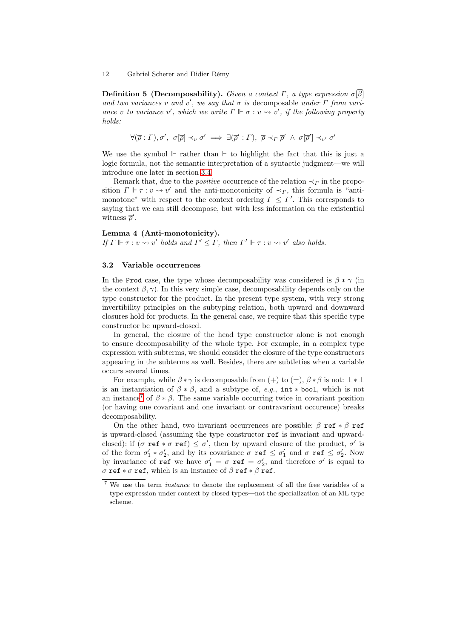**Definition 5 (Decomposability).** *Given a context*  $\Gamma$ , a type expression  $\sigma[\overline{\beta}]$ and two variances v and v', we say that  $\sigma$  is decomposable under  $\Gamma$  from vari*ance* v to variance v', which we write  $\Gamma \Vdash \sigma : v \leadsto v'$ , if the following property *holds:*

$$
\forall (\overline{\rho}: \Gamma), \sigma', \ \sigma[\overline{\rho}] \prec_v \sigma' \implies \exists (\overline{\rho}': \Gamma), \ \overline{\rho} \prec_{\Gamma} \overline{\rho}' \ \wedge \ \sigma[\overline{\rho}'] \prec_{v'} \sigma'
$$

We use the symbol  $\mathbb F$  rather than  $\vdash$  to highlight the fact that this is just a logic formula, not the semantic interpretation of a syntactic judgment—we will introduce one later in section [3.4.](#page-12-0)

Remark that, due to the *positive* occurrence of the relation  $\prec_{\Gamma}$  in the proposition  $\Gamma \Vdash \tau : v \leadsto v'$  and the anti-monotonicity of  $\prec_{\Gamma}$ , this formula is "antimonotone" with respect to the context ordering  $\Gamma \leq \Gamma'$ . This corresponds to saying that we can still decompose, but with less information on the existential witness  $\overline{\rho}'$ .

### <span id="page-11-1"></span>Lemma 4 (Anti-monotonicity).

*If*  $\Gamma \Vdash \tau : v \leadsto v'$  *holds and*  $\Gamma' \leq \Gamma$ , *then*  $\Gamma' \Vdash \tau : v \leadsto v'$  *also holds.* 

#### 3.2 Variable occurrences

In the Prod case, the type whose decomposability was considered is  $\beta * \gamma$  (in the context  $\beta$ ,  $\gamma$ ). In this very simple case, decomposability depends only on the type constructor for the product. In the present type system, with very strong invertibility principles on the subtyping relation, both upward and downward closures hold for products. In the general case, we require that this specific type constructor be upward-closed.

In general, the closure of the head type constructor alone is not enough to ensure decomposability of the whole type. For example, in a complex type expression with subterms, we should consider the closure of the type constructors appearing in the subterms as well. Besides, there are subtleties when a variable occurs several times.

For example, while  $\beta * \gamma$  is decomposable from (+) to (=),  $\beta * \beta$  is not:  $\bot * \bot$ is an instantiation of  $\beta * \beta$ , and a subtype of, *e.g.*, int \* bool, which is not an instance<sup>[7](#page-11-0)</sup> of  $\beta * \beta$ . The same variable occurring twice in covariant position (or having one covariant and one invariant or contravariant occurence) breaks decomposability.

On the other hand, two invariant occurrences are possible:  $\beta$  ref  $\ast \beta$  ref is upward-closed (assuming the type constructor ref is invariant and upwardclosed): if  $(\sigma \text{ ref} * \sigma \text{ ref}) \leq \sigma'$ , then by upward closure of the product,  $\sigma'$  is of the form  $\sigma'_1 * \sigma'_2$ , and by its covariance  $\sigma$  ref  $\leq \sigma'_1$  and  $\sigma$  ref  $\leq \sigma'_2$ . Now by invariance of ref we have  $\sigma'_1 = \sigma$  ref =  $\sigma'_2$ , and therefore  $\sigma'$  is equal to σ ref  $*$  σ ref, which is an instance of  $β$  ref  $* β$  ref.

<span id="page-11-0"></span><sup>7</sup> We use the term instance to denote the replacement of all the free variables of a type expression under context by closed types—not the specialization of an ML type scheme.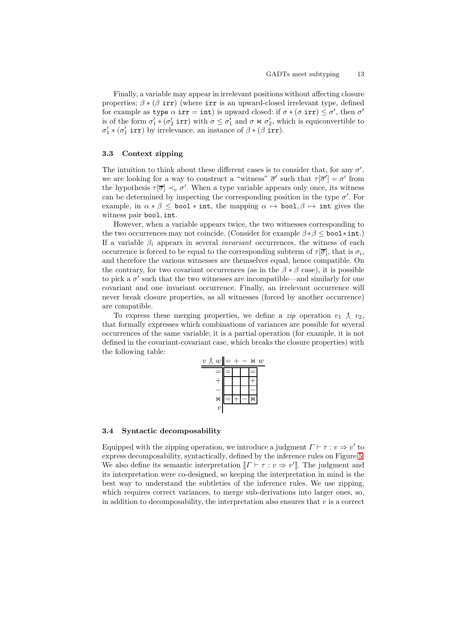Finally, a variable may appear in irrelevant positions without affecting closure properties;  $\beta * (\beta \text{ irr})$  (where irr is an upward-closed irrelevant type, defined for example as type  $\alpha$  irr = int) is upward closed: if  $\sigma * (\sigma \text{ irr}) \leq \sigma'$ , then  $\sigma'$ is of the form  $\sigma'_1 * (\sigma'_2 \text{ irr})$  with  $\sigma \leq \sigma'_1$  and  $\sigma \bowtie \sigma'_2$ , which is equiconvertible to  $\sigma'_1 * (\sigma'_1 \text{ irr})$  by irrelevance, an instance of  $\beta * (\beta \text{ irr})$ .

## 3.3 Context zipping

The intuition to think about these different cases is to consider that, for any  $\sigma'$ , we are looking for a way to construct a "witness"  $\overline{\sigma}'$  such that  $\tau[\overline{\sigma}'] = \sigma'$  from the hypothesis  $\tau[\overline{\sigma}] \prec_v \sigma'$ . When a type variable appears only once, its witness can be determined by inspecting the corresponding position in the type  $\sigma'$ . For example, in  $\alpha * \beta$  < bool \* int, the mapping  $\alpha \mapsto$  bool,  $\beta \mapsto$  int gives the witness pair bool, int.

However, when a variable appears twice, the two witnesses corresponding to the two occurrences may not coincide. (Consider for example  $\beta * \beta \leq \text{bool} * \text{int.}$ ) If a variable  $\beta_i$  appears in several *invariant* occurrences, the witness of each occurrence is forced to be equal to the corresponding subterm of  $\tau[\overline{\sigma}]$ , that is  $\sigma_i$ , and therefore the various witnesses are themselves equal, hence compatible. On the contrary, for two covariant occurrences (as in the  $\beta * \beta$  case), it is possible to pick a  $\sigma'$  such that the two witnesses are incompatible—and similarly for one covariant and one invariant occurrence. Finally, an irrelevant occurrence will never break closure properties, as all witnesses (forced by another occurrence) are compatible.

To express these merging properties, we define a *zip* operation  $v_1 \uparrow v_2$ , that formally expresses which combinations of variances are possible for several occurrences of the same variable; it is a partial operation (for example, it is not defined in the covariant-covariant case, which breaks the closure properties) with the following table:



#### <span id="page-12-0"></span>3.4 Syntactic decomposability

Equipped with the zipping operation, we introduce a judgment  $\Gamma \vdash \tau : v \Rightarrow v'$  to express decomposability, syntactically, defined by the inference rules on Figure [5.](#page-13-0) We also define its semantic interpretation  $[[\Gamma \vdash \tau : v \Rightarrow v']$ . The judgment and its interpretation were co-designed, so keeping the interpretation in mind is the best way to understand the subtleties of the inference rules. We use zipping, which requires correct variances, to merge sub-derivations into larger ones, so, in addition to decomposability, the interpretation also ensures that  $v$  is a correct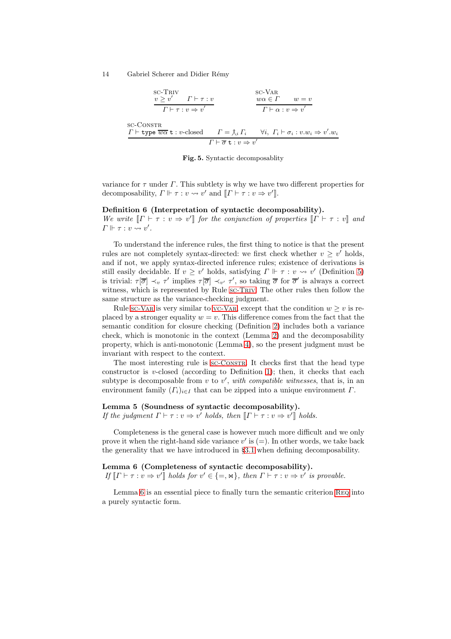<span id="page-13-3"></span><span id="page-13-1"></span>SC-TRIV  
\n
$$
v \ge v'
$$
  $\Gamma \vdash \tau : v$   
\n $\frac{w \alpha \in \Gamma} w = v$   
\nSC-CONSTR  
\nSC-CONSTR  
\n $\frac{\Gamma \vdash \text{type } \overline{w\alpha} \text{ t} : v\text{-closed} \qquad \Gamma = \hat{\lambda}_i \Gamma_i \qquad \forall i, \Gamma_i \vdash \sigma_i : v.w_i \Rightarrow v'.w_i}{\Gamma \vdash \overline{\sigma} \text{ t} : v \Rightarrow v'}$ 

<span id="page-13-2"></span><span id="page-13-0"></span>

variance for  $\tau$  under  $\Gamma$ . This subtlety is why we have two different properties for decomposability,  $\Gamma \Vdash \tau : v \leadsto v'$  and  $\llbracket \Gamma \vdash \tau : v \Rightarrow v' \rrbracket$ .

#### Definition 6 (Interpretation of syntactic decomposability).

*We write*  $\llbracket \Gamma \vdash \tau : v \Rightarrow v' \rrbracket$  *for the conjunction of properties*  $\llbracket \Gamma \vdash \tau : v \rrbracket$  *and*  $\Gamma \Vdash \tau : v \leadsto v'.$ 

To understand the inference rules, the first thing to notice is that the present rules are not completely syntax-directed: we first check whether  $v \geq v'$  holds, and if not, we apply syntax-directed inference rules; existence of derivations is still easily decidable. If  $v \geq v'$  holds, satisfying  $\Gamma \Vdash \tau : v \leadsto v'$  (Definition [5\)](#page-10-1) is trivial:  $\tau[\overline{\sigma}] \prec_v \tau'$  implies  $\tau[\overline{\sigma}] \prec_{v'} \tau'$ , so taking  $\overline{\sigma}$  for  $\overline{\sigma}'$  is always a correct witness, which is represented by Rule [sc-Triv](#page-13-1). The other rules then follow the same structure as the variance-checking judgment.

Rule [sc-Var](#page-13-2) is very similar to [vc-Var](#page-7-2), except that the condition  $w \geq v$  is replaced by a stronger equality  $w = v$ . This difference comes from the fact that the semantic condition for closure checking (Definition [2\)](#page-7-1) includes both a variance check, which is monotonic in the context (Lemma [2\)](#page-7-3) and the decomposability property, which is anti-monotonic (Lemma [4\)](#page-11-1), so the present judgment must be invariant with respect to the context.

The most interesting rule is [sc-Constr](#page-13-3)a. It checks first that the head type constructor is v-closed (according to Definition [1\)](#page-5-7); then, it checks that each subtype is decomposable from  $v$  to  $v'$ , with compatible witnesses, that is, in an environment family  $(\Gamma_i)_{i\in I}$  that can be zipped into a unique environment  $\Gamma$ .

## Lemma 5 (Soundness of syntactic decomposability). *If the judgment*  $\Gamma \vdash \tau : v \Rightarrow v'$  *holds, then*  $\llbracket \Gamma \vdash \tau : v \Rightarrow v' \rrbracket$  *holds.*

Completeness is the general case is however much more difficult and we only

# <span id="page-13-4"></span>prove it when the right-hand side variance  $v'$  is  $(=)$ . In other words, we take back the generality that we have introduced in §[3.1](#page-10-2) when defining decomposability.

## Lemma 6 (Completeness of syntactic decomposability).

*If*  $[I \rdash \tau : v \Rightarrow v']$  holds for  $v' \in \{\equiv, \bowtie\}$ , then  $\Gamma \vdash \tau : v \Rightarrow v'$  is provable.

Lemma [6](#page-13-4) is an essential piece to finally turn the semantic criterion [Req](#page-9-0) into a purely syntactic form.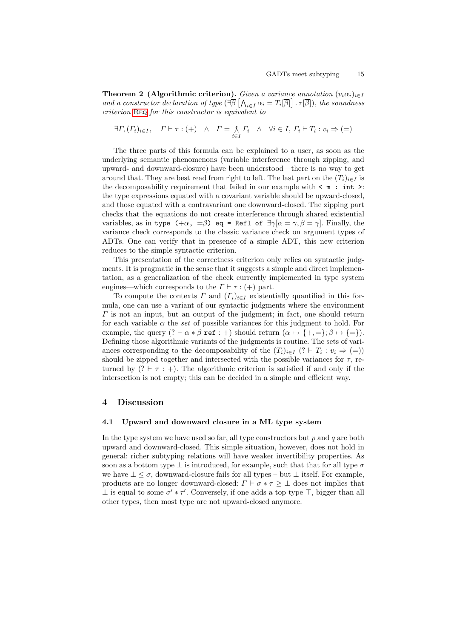**Theorem 2 (Algorithmic criterion).** *Given a variance annotation*  $(v_i \alpha_i)_{i \in I}$ and a constructor declaration of type  $(\exists \overline{\beta} [\bigwedge_{i \in I} \alpha_i = T_i[\overline{\beta}]] \cdot \tau[\overline{\beta}])$ , the soundness *criterion* [Req](#page-9-0) *for this constructor is equivalent to*

$$
\exists \Gamma, (\Gamma_i)_{i \in I}, \quad \Gamma \vdash \tau : (+) \quad \wedge \quad \Gamma = \mathop{\uparrow}_{i \in I} \Gamma_i \quad \wedge \quad \forall i \in I, \ \Gamma_i \vdash T_i : v_i \Rightarrow (=)
$$

The three parts of this formula can be explained to a user, as soon as the underlying semantic phenomenons (variable interference through zipping, and upward- and downward-closure) have been understood—there is no way to get around that. They are best read from right to left. The last part on the  $(T_i)_{i\in I}$  is the decomposability requirement that failed in our example with  $\leq m : int \geq$ : the type expressions equated with a covariant variable should be upward-closed, and those equated with a contravariant one downward-closed. The zipping part checks that the equations do not create interference through shared existential variables, as in type  $(+\alpha, =\beta)$  eq = Refl of  $\exists \gamma[\alpha = \gamma, \beta = \gamma]$ . Finally, the variance check corresponds to the classic variance check on argument types of ADTs. One can verify that in presence of a simple ADT, this new criterion reduces to the simple syntactic criterion.

This presentation of the correctness criterion only relies on syntactic judgments. It is pragmatic in the sense that it suggests a simple and direct implementation, as a generalization of the check currently implemented in type system engines—which corresponds to the  $\Gamma \vdash \tau : (+)$  part.

To compute the contexts  $\Gamma$  and  $(\Gamma_i)_{i\in I}$  existentially quantified in this formula, one can use a variant of our syntactic judgments where the environment  $\Gamma$  is not an input, but an output of the judgment; in fact, one should return for each variable  $\alpha$  the *set* of possible variances for this judgment to hold. For example, the query  $(? \vdash \alpha * \beta \text{ ref} : +)$  should return  $(\alpha \mapsto \{+, =\}; \beta \mapsto \{= \})$ . Defining those algorithmic variants of the judgments is routine. The sets of variances corresponding to the decomposability of the  $(T_i)_{i \in I}$   $(? \vdash T_i : v_i \Rightarrow (=))$ should be zipped together and intersected with the possible variances for  $\tau$ , returned by  $(? \vdash \tau : +)$ . The algorithmic criterion is satisfied if and only if the intersection is not empty; this can be decided in a simple and efficient way.

#### <span id="page-14-0"></span>4 Discussion

#### 4.1 Upward and downward closure in a ML type system

In the type system we have used so far, all type constructors but  $p$  and  $q$  are both upward and downward-closed. This simple situation, however, does not hold in general: richer subtyping relations will have weaker invertibility properties. As soon as a bottom type  $\perp$  is introduced, for example, such that that for all type  $\sigma$ we have  $\perp \leq \sigma$ , downward-closure fails for all types – but  $\perp$  itself. For example, products are no longer downward-closed:  $\Gamma \vdash \sigma * \tau \geq \bot$  does not implies that  $⊥$  is equal to some  $σ' * τ'$ . Conversely, if one adds a top type  $⊤$ , bigger than all other types, then most type are not upward-closed anymore.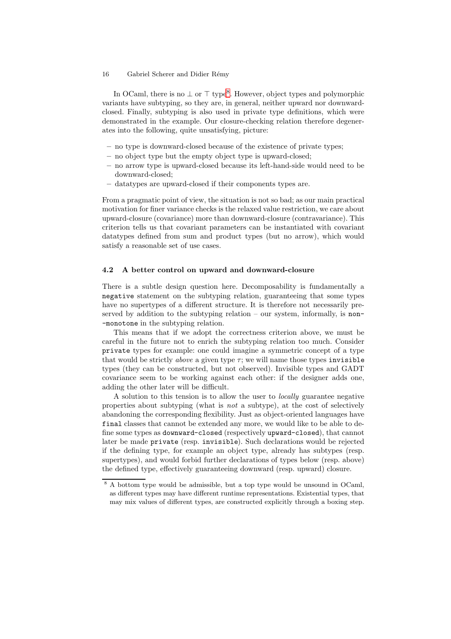In OCaml, there is no  $\perp$  or  $\perp$  type<sup>[8](#page-15-0)</sup>. However, object types and polymorphic variants have subtyping, so they are, in general, neither upward nor downwardclosed. Finally, subtyping is also used in private type definitions, which were demonstrated in the example. Our closure-checking relation therefore degenerates into the following, quite unsatisfying, picture:

- no type is downward-closed because of the existence of private types;
- no object type but the empty object type is upward-closed;
- no arrow type is upward-closed because its left-hand-side would need to be downward-closed;
- datatypes are upward-closed if their components types are.

From a pragmatic point of view, the situation is not so bad; as our main practical motivation for finer variance checks is the relaxed value restriction, we care about upward-closure (covariance) more than downward-closure (contravariance). This criterion tells us that covariant parameters can be instantiated with covariant datatypes defined from sum and product types (but no arrow), which would satisfy a reasonable set of use cases.

## 4.2 A better control on upward and downward-closure

There is a subtle design question here. Decomposability is fundamentally a negative statement on the subtyping relation, guaranteeing that some types have no supertypes of a different structure. It is therefore not necessarily preserved by addition to the subtyping relation – our system, informally, is non- -monotone in the subtyping relation.

This means that if we adopt the correctness criterion above, we must be careful in the future not to enrich the subtyping relation too much. Consider private types for example: one could imagine a symmetric concept of a type that would be strictly *above* a given type  $\tau$ ; we will name those types invisible types (they can be constructed, but not observed). Invisible types and GADT covariance seem to be working against each other: if the designer adds one, adding the other later will be difficult.

A solution to this tension is to allow the user to *locally* guarantee negative properties about subtyping (what is *not* a subtype), at the cost of selectively abandoning the corresponding flexibility. Just as object-oriented languages have final classes that cannot be extended any more, we would like to be able to define some types as downward-closed (respectively upward-closed), that cannot later be made private (resp. invisible). Such declarations would be rejected if the defining type, for example an object type, already has subtypes (resp. supertypes), and would forbid further declarations of types below (resp. above) the defined type, effectively guaranteeing downward (resp. upward) closure.

<span id="page-15-0"></span><sup>&</sup>lt;sup>8</sup> A bottom type would be admissible, but a top type would be unsound in OCaml, as different types may have different runtime representations. Existential types, that may mix values of different types, are constructed explicitly through a boxing step.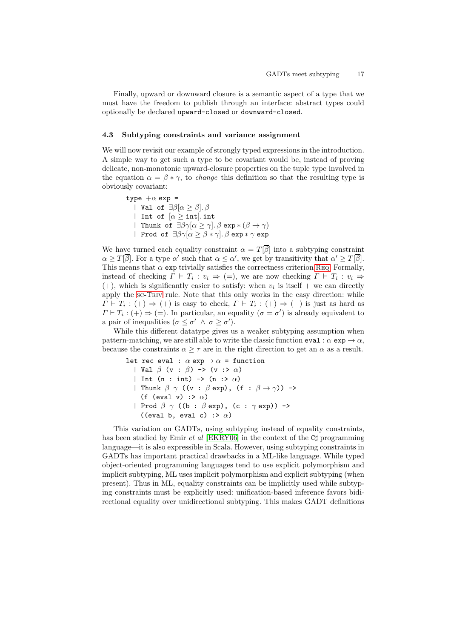Finally, upward or downward closure is a semantic aspect of a type that we must have the freedom to publish through an interface: abstract types could optionally be declared upward-closed or downward-closed.

#### <span id="page-16-0"></span>4.3 Subtyping constraints and variance assignment

We will now revisit our example of strongly typed expressions in the introduction. A simple way to get such a type to be covariant would be, instead of proving delicate, non-monotonic upward-closure properties on the tuple type involved in the equation  $\alpha = \beta * \gamma$ , to *change* this definition so that the resulting type is obviously covariant:

type  $+\alpha$  exp = | Val of  $\exists \beta[\alpha \geq \beta]. \beta$ | Int of  $\alpha \geq \text{int}.$  int | Thunk of  $\exists \beta \gamma \, [\alpha \geq \gamma]$ .  $\beta \exp * (\beta \to \gamma)$ | Prod of  $\exists \beta \gamma \, [\alpha \geq \beta * \gamma]$ .  $\beta$  exp  $* \gamma$  exp

We have turned each equality constraint  $\alpha = T[\overline{\beta}]$  into a subtyping constraint  $\alpha \geq T[\overline{\beta}]$ . For a type  $\alpha'$  such that  $\alpha \leq \alpha'$ , we get by transitivity that  $\alpha' \geq T[\overline{\beta}]$ . This means that  $\alpha$  exp trivially satisfies the correctness criterion [Req](#page-9-0). Formally, instead of checking  $\Gamma \vdash T_i : v_i \Rightarrow (=)$ , we are now checking  $\Gamma \vdash T_i : v_i \Rightarrow$  $(+)$ , which is significantly easier to satisfy: when  $v_i$  is itself + we can directly apply the [sc-Triv](#page-13-1) rule. Note that this only works in the easy direction: while  $\Gamma \vdash T_i : (+) \Rightarrow (+)$  is easy to check,  $\Gamma \vdash T_i : (+) \Rightarrow (-)$  is just as hard as  $\Gamma \vdash T_i : (+) \Rightarrow (-)$ . In particular, an equality  $(\sigma = \sigma')$  is already equivalent to a pair of inequalities  $(\sigma \leq \sigma' \land \sigma \geq \sigma')$ .

While this different datatype gives us a weaker subtyping assumption when pattern-matching, we are still able to write the classic function eval :  $\alpha$  exp  $\rightarrow \alpha$ , because the constraints  $\alpha \geq \tau$  are in the right direction to get an  $\alpha$  as a result.

Let 
$$
\text{rec} \text{ eval} : \alpha \exp \rightarrow \alpha = \text{function}
$$

\n| Val  $\beta$  ( $\mathbf{v} : \beta$ )  $\rightarrow$  ( $\mathbf{v} : \mathbf{v} \alpha$ )

\n| Int (n : int)  $\rightarrow$  (n :  $\mathbf{v} \alpha$ )

\n| Thunk  $\beta \gamma$  (( $\mathbf{v} : \beta \exp$ ), (f :  $\beta \rightarrow \gamma$ ))  $\rightarrow$  (f (eval v) :  $\alpha$ )

\n| Prod  $\beta \gamma$  ((b :  $\beta \exp$ ), (c :  $\gamma \exp$ ))  $\rightarrow$  ((eval b, eval c) :  $\alpha$ )

This variation on GADTs, using subtyping instead of equality constraints, has been studied by Emir *et al* [\[EKRY06\]](#page-19-3) in the context of the C♯ programming language—it is also expressible in Scala. However, using subtyping constraints in GADTs has important practical drawbacks in a ML-like language. While typed object-oriented programming languages tend to use explicit polymorphism and implicit subtyping, ML uses implicit polymorphism and explicit subtyping (when present). Thus in ML, equality constraints can be implicitly used while subtyping constraints must be explicitly used: unification-based inference favors bidirectional equality over unidirectional subtyping. This makes GADT definitions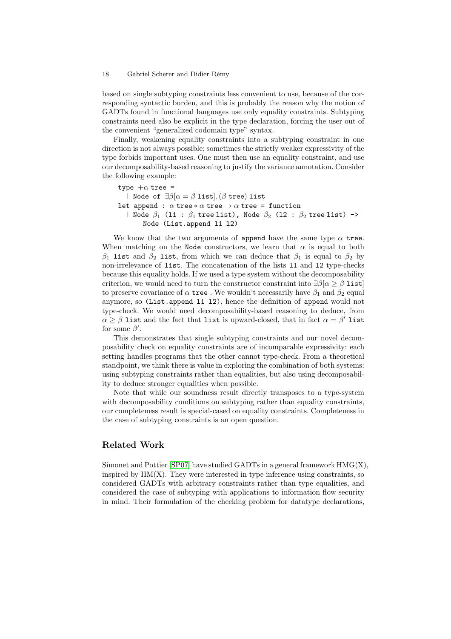based on single subtyping constraints less convenient to use, because of the corresponding syntactic burden, and this is probably the reason why the notion of GADTs found in functional languages use only equality constraints. Subtyping constraints need also be explicit in the type declaration, forcing the user out of the convenient "generalized codomain type" syntax.

Finally, weakening equality constraints into a subtyping constraint in one direction is not always possible; sometimes the strictly weaker expressivity of the type forbids important uses. One must then use an equality constraint, and use our decomposability-based reasoning to justify the variance annotation. Consider the following example:

```
type +\alpha tree =
   | Node of \exists \beta[\alpha = \beta \text{ list}].(\beta \text{ tree}) list
let append : \alpha tree *\alpha tree \rightarrow \alpha tree = function
   | Node \beta_1 (11 : \beta_1 tree list), Node \beta_2 (12 : \beta_2 tree list) ->
          Node (List.append l1 l2)
```
We know that the two arguments of append have the same type  $\alpha$  tree. When matching on the Node constructors, we learn that  $\alpha$  is equal to both  $\beta_1$  list and  $\beta_2$  list, from which we can deduce that  $\beta_1$  is equal to  $\beta_2$  by non-irrelevance of list. The concatenation of the lists l1 and l2 type-checks because this equality holds. If we used a type system without the decomposability criterion, we would need to turn the constructor constraint into  $\exists \beta[\alpha > \beta \text{ list}]$ to preserve covariance of  $\alpha$  tree. We wouldn't necessarily have  $\beta_1$  and  $\beta_2$  equal anymore, so (List.append 11 12), hence the definition of append would not type-check. We would need decomposability-based reasoning to deduce, from  $\alpha \geq \beta$  list and the fact that list is upward-closed, that in fact  $\alpha = \beta'$  list for some  $\beta'$ .

This demonstrates that single subtyping constraints and our novel decomposability check on equality constraints are of incomparable expressivity: each setting handles programs that the other cannot type-check. From a theoretical standpoint, we think there is value in exploring the combination of both systems: using subtyping constraints rather than equalities, but also using decomposability to deduce stronger equalities when possible.

Note that while our soundness result directly transposes to a type-system with decomposability conditions on subtyping rather than equality constraints, our completeness result is special-cased on equality constraints. Completeness in the case of subtyping constraints is an open question.

## Related Work

Simonet and Pottier [\[SP07\]](#page-19-5) have studied GADTs in a general framework  $HMG(X)$ , inspired by  $HM(X)$ . They were interested in type inference using constraints, so considered GADTs with arbitrary constraints rather than type equalities, and considered the case of subtyping with applications to information flow security in mind. Their formulation of the checking problem for datatype declarations,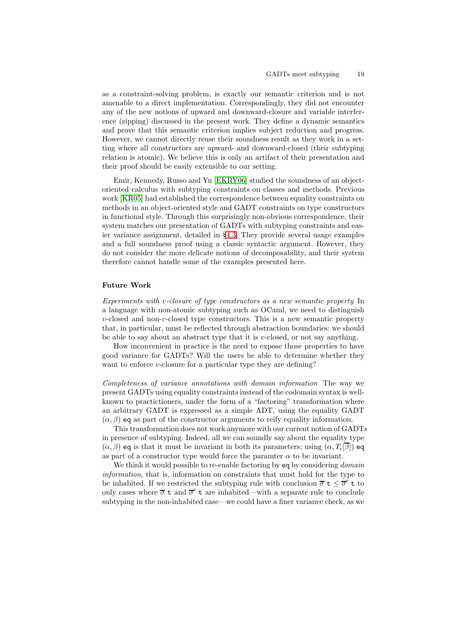as a constraint-solving problem, is exactly our semantic criterion and is not amenable to a direct implementation. Correspondingly, they did not encounter any of the new notions of upward and downward-closure and variable interference (zipping) discussed in the present work. They define a dynamic semantics and prove that this semantic criterion implies subject reduction and progress. However, we cannot directly reuse their soundness result as they work in a setting where all constructors are upward- and downward-closed (their subtyping relation is atomic). We believe this is only an artifact of their presentation and their proof should be easily extensible to our setting.

Emir, Kennedy, Russo and Yu [\[EKRY06\]](#page-19-3) studied the soundness of an objectoriented calculus with subtyping constraints on classes and methods. Previous work [\[KR05\]](#page-19-6) had established the correspondence between equality constraints on methods in an object-oriented style and GADT constraints on type constructors in functional style. Through this surprisingly non-obvious correspondence, their system matches our presentation of GADTs with subtyping constraints and easier variance assignment, detailed in §[4.3.](#page-16-0) They provide several usage examples and a full soundness proof using a classic syntactic argument. However, they do not consider the more delicate notions of decomposability, and their system therefore cannot handle some of the examples presented here.

## Future Work

*Experiments with* v*-closure of type constructors as a new semantic property* In a language with non-atomic subtyping such as OCaml, we need to distinguish  $v$ -closed and non- $v$ -closed type constructors. This is a new semantic property that, in particular, must be reflected through abstraction boundaries: we should be able to say about an abstract type that it is  $v$ -closed, or not say anything.

How inconvenient in practice is the need to expose those properties to have good variance for GADTs? Will the users be able to determine whether they want to enforce *v*-closure for a particular type they are defining?

*Completeness of variance annotations with domain information* The way we present GADTs using equality constraints instead of the codomain syntax is wellknown to practictioners, under the form of a "factoring" transformation where an arbitrary GADT is expressed as a simple ADT, using the equality GADT  $(\alpha, \beta)$  eq as part of the constructor arguments to reify equality information.

This transformation does not work anymore with our current notion of GADTs in presence of subtyping. Indeed, all we can soundly say about the equality type  $(\alpha, \beta)$  eq is that it must be invariant in both its parameters; using  $(\alpha, T_i[\beta])$  eq as part of a constructor type would force the paramter  $\alpha$  to be invariant.

We think it would possible to re-enable factoring by eq by considering *domain information*, that is, information on constraints that must hold for the type to be inhabited. If we restricted the subtyping rule with conclusion  $\overline{\sigma} \mathbf{t} \leq \overline{\sigma'} \mathbf{t}$  to only cases where  $\overline{\sigma}$  t and  $\overline{\sigma}'$  t are inhabited—with a separate rule to conclude subtyping in the non-inhabited case—we could have a finer variance check, as we